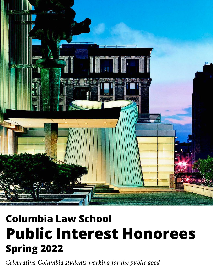

# **Columbia Law School Public Interest Honorees Spring 2022**

Celebrating Columbia students working for the public good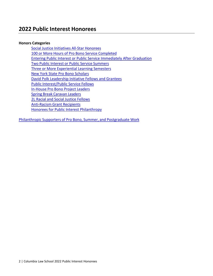# **2022 Public Interest Honorees**

#### **Honors Categories**

Social Justice [Initiatives](#page-2-0) All-Star Honorees 100 or More Hours of Pro Bono Service [Completed](#page-11-0) [Entering Public Interest or Public Service Immediately After Graduation](#page-3-0) Two Public Interest or Public Service [Summers](#page-7-0) [Three or More Experiential Learning Semesters](#page-7-1) [New York State Pro](#page-9-0) Bono Scholars [David Polk Leadership Initiative Fellows and Grantees](#page-10-0) Public [Interest/Public](#page-11-0) Service Fellows [In-House](#page-13-0) Pro Bono Project Leaders Spring Break [Caravan](#page-16-0) Leaders [2L Racial](#page-20-0) and Social Justice Fellows [Anti-Racism](#page-21-0) Grant Recipients [Honorees for Public Interest Philanthropy](#page-22-0)

Philanthropic Supporters of Pro Bono, Summer, and [Postgraduate](#page-23-0) Work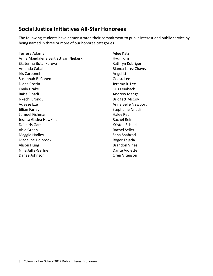# <span id="page-2-0"></span>**Social Justice Initiatives All-Star Honorees**

The following students have demonstrated their commitment to public interest and public service by being named in three or more of our honoree categories.

Terresa Adams Anna Magdalena Bartlett van Niekerk Ekaterina Botchkareva Amanda Cabal Iris Carbonel Susannah R. Cohen Diana Costin Emily Drake Raisa Elhadi Nkechi Erondu Adaeze Eze Jillian Farley Samuel Fishman Jessica Gadea Hawkins Daimiris Garcia Abie Green Maggie Hadley Madeline Holbrook Alison Hung Nina Jaffe-Geffner Danae Johnson

Ailee Katz Hyun Kim Kathryn Kobriger Bianca Larez Chavez Angel Li Geesu Lee Jeremy R. Lee Gus Leinbach Andrew Mange Bridgett McCoy Anna Belle Newport Stephanie Nnadi Haley Rea Rachel Rein Kristen Schnell Rachel Seller Sana Shahzad Roger Tejada Brandon Vines Dante Violette Oren Vitenson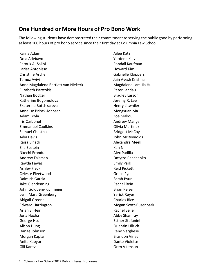# <span id="page-3-0"></span>**One Hundred or More Hours of Pro Bono Work**

The following students have demonstrated their commitment to serving the public good by performing at least 100 hours of pro bono service since their first day at Columbia Law School.

Karna Adam Dola Adebayo Farouk Al-Salihi Larisa Antonisse Christine Archer Tamuz Avivi Anna Magdalena Bartlett van Niekerk Elizabeth Bartzokis Nathan Bodger Katherine Bogomolova Ekaterina Botchkareva Annelise Brinck-Johnsen Adam Bryla Iris Carbonel Emmanuel Caulkins Samuel Chestna Adia Davis Raisa Elhadi Ella Epstein Nkechi Erondu Andrew Faisman Rawda Fawaz Ashley Fleck Celeste Fleetwood Daimiris Garcia Jake Glendenning John Goldberg-Richmeier Lynn Mara Greenberg Abigail Greene Edward Harrington Arjan S. Heir Jona Hoxha George Hsu Alison Hung Danae Johnson Morgan Kaplan Anita Kapyur Gili Karev

Ailee Katz Yardena Katz Randall Kaufman Howard Kim Gabrielle Kloppers Jain Avesh Krishna Magdalene Lam Jia Hui Peter Landau Bradley Larson Jeremy R. Lee Henry Litwhiler Mengxuan Ma Zoe Makoul Andrew Mange Olivia Martinez Bridgett McCoy John McReynolds Alexandra Meek Kan Ni Alex Padilla Dmytro Panchenko Emily Park Reid Pickett Grace Pyo Sarah Pyun Rachel Rein Brian Reiser Yerick Reyes Charles Rice Megan Scott-Busenbark Rachel Seller Abby Shamray Esther Stefanini Quentin Ullrich Reno Varghese Brandon Vines Dante Violette Oren Vitenson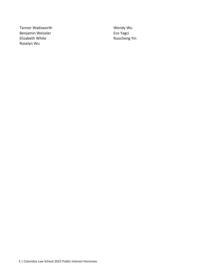Tanner Wadsworth Benjamin Weissler Elizabeth White Roselyn Wu

Wendy Wu Ece Yagci Ruocheng Yin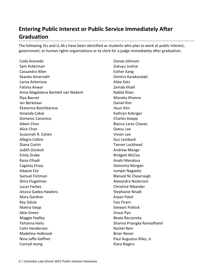# **Entering Public Interest or Public Service Immediately After Graduation**

The following 3Ls and LL.M.s have been identified as students who plan to work at public interest, government, or human rights organizations or to clerk for a judge immediately after graduation.

Cody Aceveda Sam Ackerman Cassandra Allen Skanda Amarnath Larisa Antonisse Fatima Anwar Anna Magdalena Bartlett van Niekerk Riya Basnet Ian Berkelaar Ekaterina Botchkareva Amanda Cabal Domenic Canonico Adam Chan Alice Chan Susannah R. Cohen Allegra Collins Diana Costin Judith Donkoh Emily Drake Raisa Elhadi Cagatay Ersoy Adaeze Eze Samuel Fishman Shira Flugelman Lucas Forbes Jessica Gadea Hawkins Mary Gardner Ray Gdula Malina Gepp Abie Green Maggie Hadley Yohanna Hailu Colin Henderson Madeline Holbrook Nina Jaffe-Geffner Conrad Jeong

Danae Johnson Gatuyu Justice Esther Kang Dimitra Karakioulaki Ailee Katz Zeinab Khalil Nabila Khan Maneka Khanna Daniel Kim Hyun Kim Kathryn Kobriger Charles Koepp Bianca Larez Chavez Geesu Lee Vivien Lee Gus Leinbach Tanner Lockhead Andrew Mange Bridgett McCoy Anahi Mendoza Damonta Morgan Jumpei Nagaoka Blánaid Ní Chearnaigh Alexandra Nickerson Christine Nikander Stephanie Nnadi Arpan Patel Faiz Pirani Stewart Pollock Grace Pyo Beata Raczynska Shanna Priangka Ramadhanti Rachel Rein Brian Reiser Paul Augustus Riley, Jr. Kiara Rogers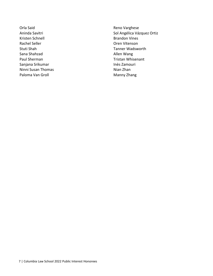Orla Said Aninda Savitri Kristen Schnell Rachel Seller Stuti Shah Sana Shahzad Paul Sherman Sanjana Srikumar Ninni Susan Thomas Paloma Van Groll

Reno Varghese Sol Angélica Vázquez Ortiz Brandon Vines Oren Vitenson Tanner Wadsworth Allen Wang Tristan Whisenant Inès Zamouri Nian Zhan Manny Zhang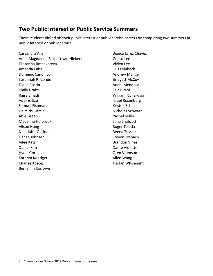# <span id="page-7-0"></span>**Two Public Interest or Public Service Summers**

These students kicked off their public interest or public service careers by completing two summers in public interest or public service.

<span id="page-7-1"></span>Cassandra Allen Anna Magdalena Bartlett van Niekerk Ekaterina Botchkareva Amanda Cabal Domenic Canonico Susannah R. Cohen Diana Costin Emily Drake Raisa Elhadi Adaeze Eze Samuel Fishman Daimiris Garcia Abie Green Madeline Holbrook Alison Hung Nina Jaffe-Geffner Danae Johnson Ailee Katz Daniel Kim Hyun Kim Kathryn Kobriger Charles Koepp Benjamin Koslowe

Bianca Larez Chavez Geesu Lee Vivien Lee Gus Leinbach Andrew Mange Bridgett McCoy Anahi Mendoza Faiz Pirani William Richardson Israel Rosenberg Kristen Schnell Nicholas Schwarz Rachel Seller Sana Shahzad Roger Tejada Reena Tessler Steven Trebach Brandon Vines Dante Violette Oren Vitenson Allen Wang Tristan Whisenant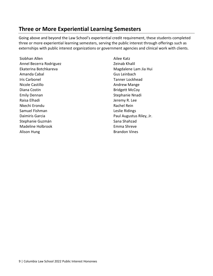# **Three or More Experiential Learning Semesters**

Going above and beyond the Law School's experiential credit requirement, these students completed three or more experiential learning semesters, serving the public interest through offerings such as externships with public interest organizations or government agencies and clinical work with clients.

Siobhan Allen Annel Becerra Rodriguez Ekaterina Botchkareva Amanda Cabal Iris Carbonel Nicole Castillo Diana Costin Emily Dennan Raisa Elhadi Nkechi Erondu Samuel Fishman Daimiris Garcia Stephanie Guzmán Madeline Holbrook Alison Hung

Ailee Katz Zeinab Khalil Magdalene Lam Jia Hui Gus Leinbach Tanner Lockhead Andrew Mange Bridgett McCoy Stephanie Nnadi Jeremy R. Lee Rachel Rein Leslie Ridings Paul Augustus Riley, Jr. Sana Shahzad Emma Shreve Brandon Vines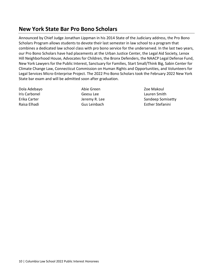# <span id="page-9-0"></span>**New York State Bar Pro Bono Scholars**

Announced by Chief Judge Jonathan Lippman in his 2014 State of the Judiciary address, the Pro Bono Scholars Program allows students to devote their last semester in law school to a program that combines a dedicated law school class with pro bono service for the underserved. In the last two years, our Pro Bono Scholars have had placements at the Urban Justice Center, the Legal Aid Society, Lenox Hill Neighborhood House, Advocates for Children, the Bronx Defenders, the NAACP Legal Defense Fund, New York Lawyers for the Public Interest, Sanctuary for Families, Start Small/Think Big, Sabin Center for Climate Change Law, Connecticut Commission on Human Rights and Opportunities, and Volunteers for Legal Services Micro-Enterprise Project. The 2022 Pro Bono Scholars took the February 2022 New York State bar exam and will be admitted soon after graduation.

Dola Adebayo Iris Carbonel Erika Carter Raisa Elhadi

Abie Green Geesu Lee Jeremy R. Lee Gus Leinbach

Zoe Makoul Lauren Smith Sandeep Somisetty Esther Stefanini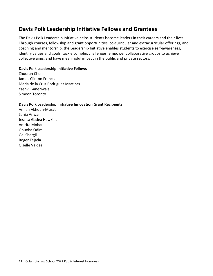# <span id="page-10-0"></span>**Davis Polk Leadership Initiative Fellows and Grantees**

The Davis Polk Leadership Initiative helps students become leaders in their careers and their lives. Through courses, fellowship and grant opportunities, co-curricular and extracurricular offerings, and coaching and mentorship, the Leadership Initiative enables students to exercise self-awareness, identify values and goals, tackle complex challenges, empower collaborative groups to achieve collective aims, and have meaningful impact in the public and private sectors.

#### **Davis Polk Leadership Initiative Fellows**

Zhuoran Chen James Clinton Francis Maria de la Cruz Rodriguez Martinez Yashvi Ganeriwala Simeon Toronto

#### **Davis Polk Leadership Initiative Innovation Grant Recipients**

Annah Akhoun-Murat Sania Anwar Jessica Gadea Hawkins Amrita Mohan Onuoha Odim Gal Shargil Roger Tejada Giselle Valdez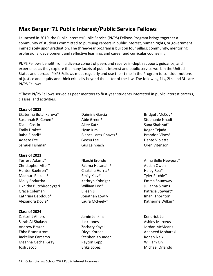# <span id="page-11-0"></span>**Max Berger '71 Public Interest/Public Service Fellows**

Launched in 2019, the Public Interest/Public Service (PI/PS) Fellows Program brings together a community of students committed to pursuing careers in public interest, human rights, or government immediately upon graduation. The three-year program is built on four pillars: community, mentoring, professional development and reflective learning, and career and curricular counseling.

PI/PS Fellows benefit from a diverse cohort of peers and receive in-depth support, guidance, and experience as they explore the many facets of public interest and public service work in the United States and abroad. PI/PS Fellows meet regularly and use their time in the Program to consider notions of justice and equity and think critically beyond the letter of the law. The following 1Ls, 2Ls, and 3Ls are PI/PS Fellows.

\*These PI/PS Fellows served as peer mentors to first-year students interested in public interest careers, classes, and activities.

#### **Class of 2022**

Ekaterina Botchkareva\* Susannah R. Cohen\* Diana Costin Emily Drake\* Raisa Elhadi\* Adaeze Eze Samuel Fishman

#### **Class of 2023**

Terresa Adams\* Christopher Alter\* Hunter Baehren\* Madhuri Belkale\* Molly Bodurtha Likhitha Butchireddygari Grace Coleman Kathrina Dabdoub\* Alexandra Doyle\*

#### **Class of 2024**

Zartosht Ahlers Sarah Al-Shalash Andrew Brazer Ebba Brunnstrom Jackeline Carcamo Meanna Gechal Gray Josh Jacob

- Daimiris Garcia Abie Green\* Ailee Katz Hyun Kim Bianca Larez Chavez\* Geesu Lee Gus Leinbach
- Nkechi Erondu Fatima Hasanain\* Chakshu Hurria\* Emily Katz\* Kathryn Kobriger William Leo\* Eileen Li Jonathan Lowry Laura McFeely\*
- Jamie Jenkins Jack Jones Zachary Kayal Divya Korada Stephen Kpundeh Peyton Lepp Erika Lopez
- Bridgett McCoy\* Stephanie Nnadi Sana Shahzad\* Roger Tejada Brandon Vines\* Dante Violette Oren Vitenson
- Anna Belle Newport\* Austin Owen Haley Rea\* Tyler Ritchie\* Emma Shumway Julianna Simms Patricia Stewart\* Imani Thornton Katherine Wilkin\*
- Kendrick Lu Ashley Marceus Jordan McMeans Anaheed Mobaraki Rohan Naik William Oh Michael Orlando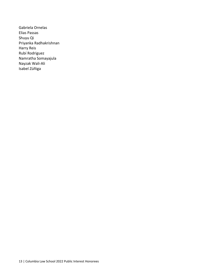Gabriela Ornelas Elias Passas Shuyu Qi Priyanka Radhakrishnan Harry Reis Rubí Rodriguez Namratha Somayajula Nayzak Wali-Ali Isabel Zúñiga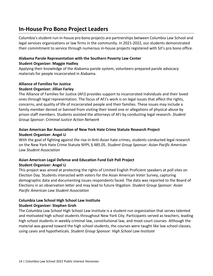# <span id="page-13-0"></span>**In-House Pro Bono Project Leaders**

Columbia's student-run in-house pro bono projects are partnerships between Columbia Law School and legal services organizations or law firms in the community. In 2021-2022, our students demonstrated their commitment to service through numerous in-house projects registered with SJI's pro bono office.

#### **Alabama Parole Representation with the Southern Poverty Law Center Student Organizer: Maggie Hadley**

Applying their knowledge of the Alabama parole system, volunteers prepared parole advocacy materials for people incarcerated in Alabama.

# **Alliance of Families for Justice**

#### **Student Organizer: Jillian Farley**

The Alliance of Families for Justice (AFJ) provides support to incarcerated individuals and their loved ones through legal representation. The focus of AFJ's work is on legal issues that affect the rights, concerns, and quality of life of incarcerated people and their families. These issues may include a family member denied or banned from visiting their loved one or allegations of physical abuse by prison staff members. Students assisted the attorneys of AFJ by conducting legal research. *Student Group Sponsor: Criminal Justice Action Network*

#### **Asian American Bar Association of New York Hate Crime Statute Research Project Student Organizer: Angel Li**

With the goal of fighting against the rise in Anti-Asian hate crimes, students conducted legal research on the New York Hate Crime Statute NYPL § 485.05. *Student Group Sponsor: Asian Pacific American Law Student Association*

## **Asian American Legal Defense and Education Fund Exit Poll Project Student Organizer: Angel Li**

This project was aimed at protecting the rights of Limited English Proficient speakers at poll sites on Election Day. Students interacted with voters for the Asian American Voter Survey, capturing demographic data and documenting issues respondents faced. The data was reported to the Board of Elections in an observation letter and may lead to future litigation. *Student Group Sponsor: Asian Pacific American Law Student Association*

## **Columbia Law School High School Law Institute Student Organizer: Stephen Groh**

The Columbia Law School High School Law Institute is a student-run organization that serves talented and motivated high school students throughout New York City. Participants served as teachers, leading high school students in weekly criminal law, constitutional law, and moot court courses. Although the material was geared toward the high school students, the courses were taught like law school classes, using cases and hypotheticals. *Student Group Sponsor: High School Law Institute*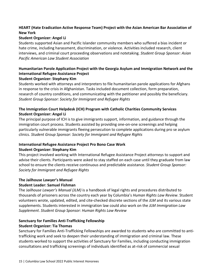## **HEART (Hate Eradication Active Response Team) Project with the Asian American Bar Association of New York**

#### **Student Organizer: Angel Li**

Students supported Asian and Pacific Islander community members who suffered a bias incident or hate crime, including harassment, discrimination, or violence. Activities included research, client interviews, and criminal court proceeding observations and notetaking. *Student Group Sponsor: Asian Pacific American Law Student Association*

## **Humanitarian Parole Application Project with the Georgia Asylum and Immigration Network and the International Refugee Assistance Project**

#### **Student Organizer: Stephany Kim**

Students worked with attorneys and interpreters to file humanitarian parole applications for Afghans in response to the crisis in Afghanistan. Tasks included document collection, form preparation, research of country conditions, and communicating with the petitioner and possibly the beneficiary. *Student Group Sponsor: Society for Immigrant and Refugee Rights*

## **The Immigration Court Helpdesk (ICH) Program with Catholic Charities Community Services Student Organizer: Angel Li**

The principal purpose of ICH is to give immigrants support, information, and guidance through the immigration court process. Students assisted by providing one-on-one screenings and helping particularly vulnerable immigrants fleeing persecution to complete applications during pro se asylum clinics. *Student Group Sponsor: Society for Immigrant and Refugee Rights*

# **International Refugee Assistance Project Pro Bono Case Work**

#### **Student Organizer: Stephany Kim**

This project involved working with International Refugee Assistance Project attorneys to support and advise their clients. Participants were asked to stay staffed on each case until they graduate from law school to ensure the clients receive continuous and predictable assistance. *Student Group Sponsor: Society for Immigrant and Refugee Rights*

## **The Jailhouse Lawyer's Manual Student Leader: Samuel Fishman**

The J*ailhouse Lawyer's Manual (JLM)* is a handbook of legal rights and procedures distributed to thousands of prisoners across the country each year by Columbia's *Human Rights Law Review*. Student volunteers wrote, updated, edited, and cite-checked discrete sections of the *JLM* and its various state supplements. Students interested in immigration law could also work on the *JLM Immigration Law Supplement*. *Student Group Sponsor: Human Rights Law Review*

## **Sanctuary for Families Anti-Trafficking Fellowship**

#### **Student Organizer: Tia Thomas**

Sanctuary for Families Anti-Trafficking Fellowships are awarded to students who are committed to antitrafficking work and seek to deepen their understanding of immigration and criminal law. These students worked to support the activities of Sanctuary for Families, including conducting immigration consultations and trafficking screenings of individuals identified as at-risk of commercial sexual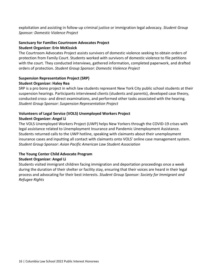exploitation and assisting in follow-up criminal justice or immigration legal advocacy. *Student Group Sponsor: Domestic Violence Project*

## **Sanctuary for Families Courtroom Advocates Project Student Organizer: Erin McKissick**

The Courtroom Advocates Project assists survivors of domestic violence seeking to obtain orders of protection from Family Court. Students worked with survivors of domestic violence to file petitions with the court. They conducted interviews, gathered information, completed paperwork, and drafted orders of protection. *Student Group Sponsor: Domestic Violence Project*

## **Suspension Representation Project (SRP) Student Organizer: Haley Rea**

SRP is a pro bono project in which law students represent New York City public school students at their suspension hearings. Participants interviewed clients (students and parents), developed case theory, conducted cross- and direct examinations, and performed other tasks associated with the hearing. *Student Group Sponsor: Suspension Representation Project*

## **Volunteers of Legal Service (VOLS) Unemployed Workers Project Student Organizer: Angel Li**

The VOLS Unemployed Workers Project (UWP) helps New Yorkers through the COVID-19 crises with legal assistance related to Unemployment Insurance and Pandemic Unemployment Assistance. Students returned calls to the UWP hotline, speaking with claimants about their unemployment insurance cases and inputting all contact with claimants onto VOLS' online case management system. *Student Group Sponsor: Asian Pacific American Law Student Association*

## **The Young Center Child Advocate Program**

## **Student Organizer: Angel Li**

Students visited immigrant children facing immigration and deportation proceedings once a week during the duration of their shelter or facility stay, ensuring that their voices are heard in their legal process and advocating for their best interests. *Student Group Sponsor: Society for Immigrant and Refugee Rights*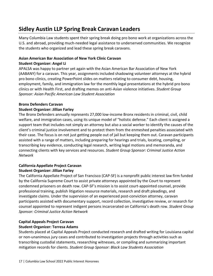# <span id="page-16-0"></span>**Sidley Austin LLP Spring Break Caravan Leaders**

Many Columbia Law students spent their spring break doing pro bono work at organizations across the U.S. and abroad, providing much-needed legal assistance to underserved communities. We recognize the students who organized and lead these spring break caravans.

#### **Asian American Bar Association of New York Clinic Caravan Student Organizer: Angel Li**

APALSA was happy to partner yet again with the Asian American Bar Association of New York (AABANY) for a caravan. This year, assignments included shadowing volunteer attorneys at the hybrid pro bono clinics, creating PowerPoint slides on matters relating to consumer debt, housing, employment, family, and immigration law for the monthly legal presentations at the hybrid pro bono clinics or with Health First, and drafting memos on anti-Asian violence initiatives. *Student Group Sponsor: Asian Pacific American Law Student Association*

#### **Bronx Defenders Caravan**

#### **Student Organizer: Jillian Farley**

The Bronx Defenders annually represents 27,000 low-income Bronx residents in criminal, civil, child welfare, and immigration cases, using its unique model of "holistic defense." Each client is assigned a support team that includes not simply an attorney but also a social worker to identify the causes of the client's criminal justice involvement and to protect them from the enmeshed penalties associated with their case. The focus is on not just getting people out of jail but keeping them out. Caravan participants assisted with a range of matters, including preparing for hearings and trials, locating, compiling, or transcribing key evidence, conducting legal research, writing legal motions and memoranda, and connecting clients with key services and resources. *Student Group Sponsor: Criminal Justice Action Network*

## **California Appellate Project Caravan Student Organizer: Jillian Farley**

The California Appellate Project of San Francisco (CAP-SF) is a nonprofit public interest law firm funded by the California Supreme Court to assist private attorneys appointed by the Court to represent condemned prisoners on death row. CAP-SF's mission is to assist court-appointed counsel, provide professional training, publish litigation resource materials, research and draft pleadings, and investigate claims. Under the supervision of an experienced post-conviction attorney, caravan participants assisted with documentary support, record collection, investigative review, or research for counsel appointed to represent indigent persons incarcerated on California's death row. *Student Group Sponsor: Criminal Justice Action Network*

## **Capital Appeals Project Caravan Student Organizer: Terresa Adams**

Students placed at Capital Appeals Project conducted research and drafted writing for Louisiana capital or non-unanimous jury cases and contributed to investigation projects through activities such as transcribing custodial statements, researching witnesses, or compiling and summarizing important mitigation records for clients. *Student Group Sponsor: Black Law Students Association*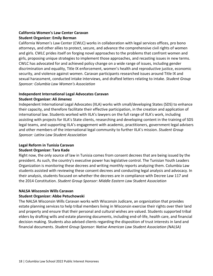## **California Women's Law Center Caravan Student Organizer: Emily Berman**

California Women's Law Center (CWLC) works in collaboration with legal services offices, pro bono attorneys, and other allies to protect, secure, and advance the comprehensive civil rights of women and girls. CWLC prides itself on forging novel approaches to the problems that confront women and girls, proposing unique strategies to implement those approaches, and recasting issues in new terms. CWLC has advocated for and achieved policy change on a wide range of issues, including gender discrimination and equality, Title IX enforcement, women's health and reproductive justice, economic security, and violence against women. Caravan participants researched issues around Title IX and sexual harassment, conducted intake interviews, and drafted letters relating to intake. *Student Group Sponsor: Columbia Law Women's Association*

## **Independent International Legal Advocates Caravan**

#### **Student Organizer: Ali Jimenez**

Independent International Legal Advocates (IILA) works with small/developing States (SDS) to enhance their capacity, and therefore facilitate their effective participation, in the creation and application of international law. Students worked with IILA's lawyers on the full range of IILA's work, including assisting with projects for IILA's State clients, researching and developing content in the training of SDS legal teams, and supporting IILA's engagement with academic, practitioners, government legal advisers and other members of the international legal community to further IILA's mission. *Student Group Sponsor: Latinx Law Student Association*

# **Legal Reform in Tunisia Caravan**

#### **Student Organizer: Tara Kade**

Right now, the only source of law in Tunisia comes from consent decrees that are being issued by the president. As such, the country's executive power has legislative control. The Tunisian Youth Leaders Organization is monitoring these decrees and writing monthly reports analyzing them. Columbia Law students assisted with reviewing these consent decrees and conducting legal analysis and advocacy. In their analysis, students focused on whether the decrees are in compliance with Decree Law 117 and the 2014 Constitution. *Student Group Sponsor: Middle Eastern Law Student Association*

#### **NALSA Wisconsin Wills Caravan**

## **Student Organizer: Abbe Petuchowski**

The NALSA Wisconsin Wills Caravan works with Wisconsin Judicare, an organization that provides estate planning services to help tribal members living in Wisconsin exercise their rights over their land and property and ensure that their personal and cultural wishes are valued. Students supported tribal elders by drafting wills and estate planning documents, including end-of-life, health care, and financial decision making. Students also advised clients regarding the disposition of trust interests in land and financial documents. *Student Group Sponsor: Native American Law Student Association (NALSA)*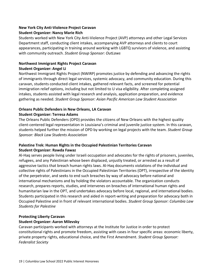## **New York City Anti-Violence Project Caravan**

#### **Student Organizer: Nancy Marie Rich**

Students worked with New York City Anti-Violence Project (AVP) attorneys and other Legal Services Department staff, conducting client intakes, accompanying AVP attorneys and clients to court appearances, participating in training around working with LGBTQ survivors of violence, and assisting with community outreach. *Student Group Sponsor: OutLaws*

#### **Northwest Immigrant Rights Project Caravan**

#### **Student Organizer: Angel Li**

Northwest Immigrant Rights Project (NWIRP) promotes justice by defending and advancing the rights of immigrants through direct legal services, systemic advocacy, and community education. During this caravan, students conducted client intakes, gathered relevant facts, and screened for potential immigration relief options, including but not limited to U visa eligibility. After completing assigned intakes, students assisted with legal research and analysis, application preparation, and evidence gathering as needed. *Student Group Sponsor: Asian Pacific American Law Student Association*

## **Orleans Public Defenders in New Orleans, LA Caravan**

#### **Student Organizer: Terresa Adams**

The Orleans Public Defenders (OPD) provides the citizens of New Orleans with the highest quality client-centered legal representation in Louisiana's criminal and juvenile justice system. In this caravan, students helped further the mission of OPD by working on legal projects with the team. *Student Group Sponsor: Black Law Students Association*

## **Palestine Trek: Human Rights in the Occupied Palestinian Territories Caravan Student Organizer: Rawda Fawaz**

Al-Haq serves people living under Israeli occupation and advocates for the rights of prisoners, juveniles, refugees, and any Palestinian whose been displaced, unjustly treated, or arrested as a result of aggressive tactics that breach human rights laws. Al-Haq documents violations of the individual and collective rights of Palestinians in the Occupied Palestinian Territories (OPT), irrespective of the identity of the perpetrator, and seeks to end such breaches by way of advocacy before national and international mechanisms and by holding the violators accountable. The organization conducts research, prepares reports, studies, and intervenes on breaches of international human rights and humanitarian law in the OPT, and undertakes advocacy before local, regional, and international bodies. Students participated in this research and aided in report-writing and preparation for advocacy both in Occupied Palestine and in front of relevant international bodies. *Student Group Sponsor: Columbia Law Students for Palestine*

## **Protecting Liberty Caravan Student Organizer: Aaron Milevsky**

Caravan participants worked with attorneys at the Institute for Justice in order to protect constitutional rights and promote freedom, assisting with cases in four specific areas: economic liberty, private property rights, educational choice, and the First Amendment. *Student Group Sponsor: Federalist Society*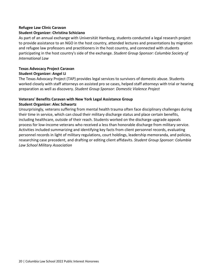#### **Refugee Law Clinic Caravan**

#### **Student Organizer: Christina Schiciano**

As part of an annual exchange with Universität Hamburg, students conducted a legal research project to provide assistance to an NGO in the host country, attended lectures and presentations by migration and refugee law professors and practitioners in the host country, and connected with students participating in the host country's side of the exchange. *Student Group Sponsor: Columbia Society of International Law*

## **Texas Advocacy Project Caravan Student Organizer: Angel Li**

The Texas Advocacy Project (TAP) provides legal services to survivors of domestic abuse. Students worked closely with staff attorneys on assisted pro se cases, helped staff attorneys with trial or hearing preparation as well as discovery. *Student Group Sponsor: Domestic Violence Project*

## **Veterans' Benefits Caravan with New York Legal Assistance Group Student Organizer: Alec Schwartz**

Unsurprisingly, veterans suffering from mental health trauma often face disciplinary challenges during their time in service, which can cloud their military discharge status and place certain benefits, including healthcare, outside of their reach. Students worked on the discharge upgrade appeals process for low-income veterans who received a less than honorable discharge from military service. Activities included summarizing and identifying key facts from client personnel records, evaluating personnel records in light of military regulations, court holdings, leadership memoranda, and policies, researching case precedent, and drafting or editing client affidavits. *Student Group Sponsor: Columbia Law School Military Association*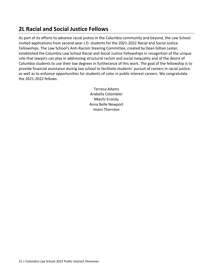# <span id="page-20-0"></span>**2L Racial and Social Justice Fellows**

As part of its efforts to advance racial justice in the Columbia community and beyond, the Law School invited applications from second-year J.D. students for the 2021-2022 Racial and Social Justice Fellowships. The Law School's Anti-Racism Steering Committee, created by Dean Gillian Lester, established the Columbia Law School Racial and Social Justice Fellowships in recognition of the unique role that lawyers can play in addressing structural racism and social inequality and of the desire of Columbia students to use their law degrees in furtherance of this work. The goal of the fellowship is to provide financial assistance during law school to facilitate students' pursuit of careers in racial justice, as well as to enhance opportunities for students of color in public interest careers. We congratulate the 2021-2022 fellows.

> Terresa Adams Arabella Colombier Nkechi Erondu Anna Belle Newport Imani Thornton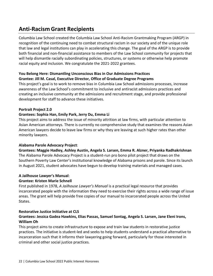# <span id="page-21-0"></span>**Anti-Racism Grant Recipients**

Columbia Law School created the Columbia Law School Anti-Racism Grantmaking Program (ARGP) in recognition of the continuing need to combat structural racism in our society and of the unique role that law and legal institutions can play in accelerating this change. The goal of the ARGP is to provide both financial and non-financial assistance to members of the Law School community for projects that will help dismantle racially subordinating policies, structures, or systems or otherwise help promote racial equity and inclusion. We congratulate the 2021-2022 grantees.

#### **You Belong Here: Dismantling Unconscious Bias in Our Admissions Practices Grantee: Jill M. Casal, Executive Director, Office of Graduate Degree Programs**

This project's goal is to work to remove bias in Columbia Law School admissions processes, increase awareness of the Law School's commitment to inclusive and antiracist admissions practices and creating an inclusive community at the admissions and recruitment stage, and provide professional development for staff to advance these initiatives.

## **Portrait Project 2.0**

## **Grantees: Sophia Han, Emily Park, Jerry Du, Emma Li**

This project aims to address the issue of minority attrition at law firms, with particular attention to Asian American attorneys. There is currently no comprehensive study that examines the reasons Asian American lawyers decide to leave law firms or why they are leaving at such higher rates than other minority lawyers.

#### **Alabama Parole Advocacy Project**:

**Grantees: Maggie Hadley, Ashley Austin, Angela S. Larsen, Emma R. Alzner, Priyanka Radhakrishnan** The Alabama Parole Advocacy Project is a student-run pro bono pilot project that draws on the Southern Poverty Law Center's institutional knowledge of Alabama prisons and parole. Since its launch in August 2021, student advocates have begun to develop training materials and managed cases.

## **A Jailhouse Lawyer's Manual**:

## **Grantee: Kristen Marie Schnell**

First published in 1978, *A Jailhouse Lawyer's Manual* is a practical legal resource that provides incarcerated people with the information they need to exercise their rights across a wide range of issue areas. The grant will help provide free copies of our manual to incarcerated people across the United States.

#### **Restorative Justice Initiative at CLS**

## **Grantees: Jessica Gadea Hawkins, Elias Passas, Samuel Sontag, Angela S. Larsen, Jane Eleni Irons, William Oh**

This project aims to create infrastructure to expose and train law students in restorative justice practices. The initiative is student-led and seeks to help students understand a practical alternative to incarceration such that it informs their lawyering going forward, particularly for those interested in criminal and other social justice practices.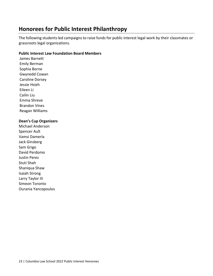# <span id="page-22-0"></span>**Honorees for Public Interest Philanthropy**

The following students led campaigns to raise funds for public interest legal work by their classmates or grassroots legal organizations.

#### **Public Interest Law Foundation Board Members**

James Barnett Emily Berman Sophia Borne Gwynedd Cowan Caroline Dorsey Jessie Hsieh Eileen Li Cailin Liu Emma Shreve Brandon Vines Reagan Williams

#### **Dean's Cup Organizers**

Michael Anderson Spencer Ault Vamsi Damerla Jack Ginsberg Sam Grigo David Perdomo Justin Perez Stuti Shah Shaniqua Shaw Isaiah Strong Larry Taylor III Simeon Toronto Ourania Yancopoulos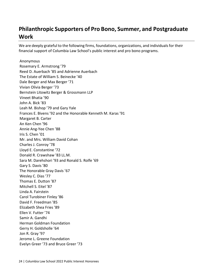# <span id="page-23-0"></span>**Philanthropic Supporters of Pro Bono, Summer, and Postgraduate Work**

We are deeply grateful to the following firms, foundations, organizations, and individuals for their financial support of Columbia Law School's public interest and pro bono programs.

Anonymous Rosemary E. Armstrong '79 Reed D. Auerbach '85 and Adrienne Auerbach The Estate of William S. Beinecke '40 Dale Berger and Max Berger '71 Vivian Olivia Berger '73 Bernstein Litowitz Berger & Grossmann LLP Vineet Bhatia '90 John A. Bick '83 Leah M. Bishop '79 and Gary Yale Frances E. Bivens '92 and the Honorable Kenneth M. Karas '91 Margaret B. Carter An Ken Chen '96 Annie Ang-Yee Chen '88 Iris S. Chen '01 Mr. and Mrs. William David Cohan Charles J. Conroy '78 Lloyd E. Constantine '72 Donald R. Crawshaw '83 LL.M. Sara M. Darehshori '93 and Ronald S. Rolfe '69 Gary S. Davis '80 The Honorable Gray Davis '67 Wesley C. Dias '77 Thomas E. Dutton '87 Mitchell S. Eitel '87 Linda A. Fairstein Carol Turobiner Finley '86 David F. Freedman '85 Elizabeth Shea Fries '89 Ellen V. Futter '74 Samir A. Gandhi Herman Goldman Foundation Gerry H. Goldsholle '64 Jon R. Gray '97 Jerome L. Greene Foundation Evelyn Greer '73 and Bruce Greer '73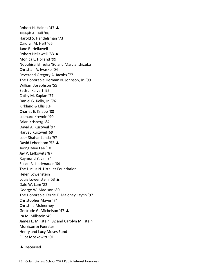Robert H. Haines '47 ▲ Joseph A. Hall '88 Harold S. Handelsman '73 Carolyn M. Heft '66 Jane B. Hellawell Robert Hellawell '53 ▲ Monica L. Holland '99 Nobuhisa Ishizuka '86 and Marcia Ishizuka Christian A. Iwasko '04 Reverend Gregory A. Jacobs '77 The Honorable Herman N. Johnson, Jr. '99 William Josephson '55 Seth J. Kalvert '95 Cathy M. Kaplan '77 Daniel G. Kelly, Jr. '76 Kirkland & Ellis LLP Charles E. Knapp '80 Leonard Kreynin '90 Brian Krisberg '84 David A. Kurzweil '97 Harvey Kurzweil '69 Leor Shahar Landa '97 David Lebenbom '52 ▲ Jeong Mee Lee '10 Jay P. Lefkowitz '87 Raymond Y. Lin '84 Susan B. Lindenauer '64 The Lucius N. Littauer Foundation Helen Lowenstein Louis Lowenstein '53 ▲ Dale W. Lum '82 George W. Madison '80 The Honorable Kerrie E. Maloney Laytin '97 Christopher Mayer '74 Christina McInerney Gertrude G. Michelson '47 ▲ Ira M. Millstein '49 James E. Millstein '82 and Carolyn Millstein Morrison & Foerster Henry and Lucy Moses Fund Elliot Moskowitz '01

#### ▲ Deceased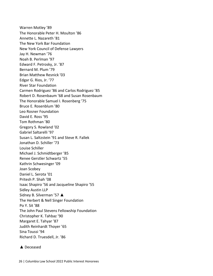Warren Motley '89 The Honorable Peter H. Moulton '86 Annette L. Nazareth '81 The New York Bar Foundation New York Council of Defense Lawyers Jay H. Newman '76 Noah B. Perlman '97 Edward F. Petrosky, Jr. '87 Bernard M. Plum '79 Brian Matthew Resnick '03 Edgar G. Rios, Jr. '77 River Star Foundation Carmen Rodriguez '86 and Carlos Rodriguez '85 Robert D. Rosenbaum '68 and Susan Rosenbaum The Honorable Samuel I. Rosenberg '75 Bruce E. Rosenblum '80 Leo Rosner Foundation David E. Ross '95 Tom Rothman '80 Gregory S. Rowland '02 Gabriel Saltarelli '97 Susan L. Saltzstein '91 and Steve R. Fallek Jonathan D. Schiller '73 Louise Schiller Michael J. Schmidtberger '85 Renee Gerstler Schwartz '55 Kathrin Schwesinger '09 Joan Scobey Daniel L. Serota '01 Pritesh P. Shah '08 Isaac Shapiro '56 and Jacqueline Shapiro '55 Sidley Austin LLP Sidney B. Silverman '57 ▲ The Herbert & Nell Singer Foundation Po Y. Sit '88 The John Paul Stevens Fellowship Foundation Christopher K. Tahbaz '90 Margaret E. Tahyar '87 Judith Reinhardt Thoyer '65 Sina Toussi '94 Richard D. Truesdell, Jr. '86

#### ▲ Deceased